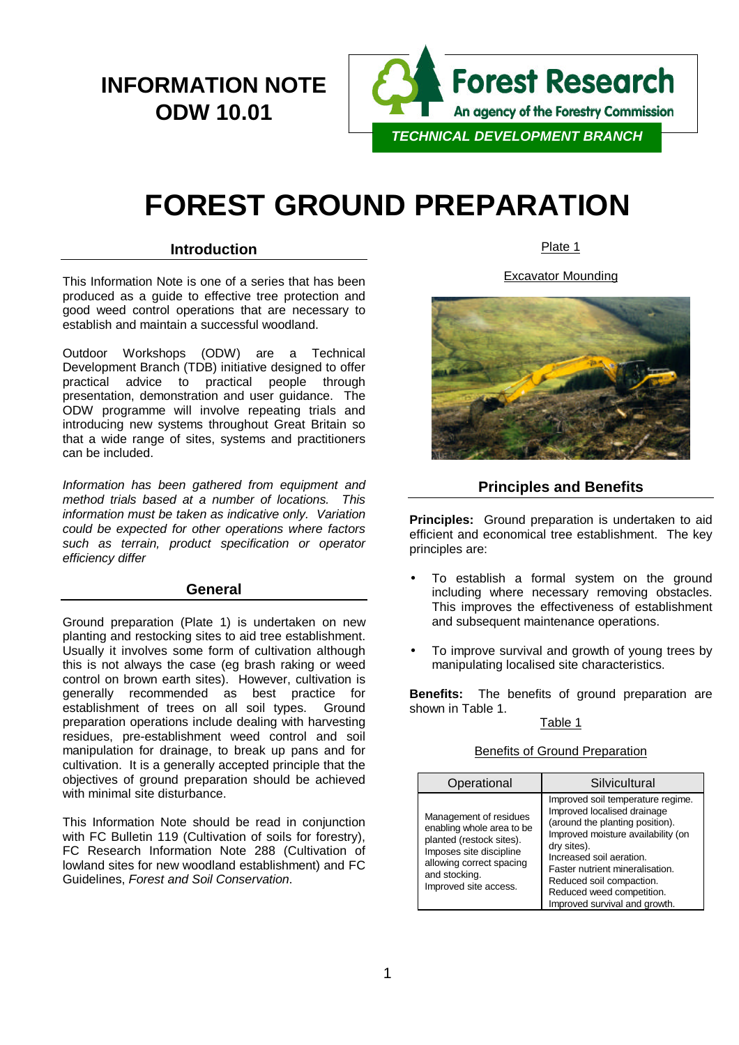# **INFORMATION NOTE ODW 10.01**



# **FOREST GROUND PREPARATION**

# **Introduction**

This Information Note is one of a series that has been produced as a guide to effective tree protection and good weed control operations that are necessary to establish and maintain a successful woodland.

Outdoor Workshops (ODW) are a Technical Development Branch (TDB) initiative designed to offer practical advice to practical people through presentation, demonstration and user guidance. The ODW programme will involve repeating trials and introducing new systems throughout Great Britain so that a wide range of sites, systems and practitioners can be included.

*Information has been gathered from equipment and method trials based at a number of locations. This information must be taken as indicative only. Variation could be expected for other operations where factors such as terrain, product specification or operator efficiency differ*

# **General**

Ground preparation (Plate 1) is undertaken on new planting and restocking sites to aid tree establishment. Usually it involves some form of cultivation although this is not always the case (eg brash raking or weed control on brown earth sites). However, cultivation is generally recommended as best practice for establishment of trees on all soil types. Ground preparation operations include dealing with harvesting residues, pre-establishment weed control and soil manipulation for drainage, to break up pans and for cultivation. It is a generally accepted principle that the objectives of ground preparation should be achieved with minimal site disturbance.

This Information Note should be read in conjunction with FC Bulletin 119 (Cultivation of soils for forestry), FC Research Information Note 288 (Cultivation of lowland sites for new woodland establishment) and FC Guidelines, *Forest and Soil Conservation*.

Plate 1

Excavator Mounding



# **Principles and Benefits**

**Principles:** Ground preparation is undertaken to aid efficient and economical tree establishment. The key principles are:

- To establish a formal system on the ground including where necessary removing obstacles. This improves the effectiveness of establishment and subsequent maintenance operations.
- To improve survival and growth of young trees by manipulating localised site characteristics.

**Benefits:** The benefits of ground preparation are shown in Table 1.

# Table 1

# Benefits of Ground Preparation

| Operational                                                                                                                                                                      | Silvicultural                                                                                                                                                                                                                                                                                                     |
|----------------------------------------------------------------------------------------------------------------------------------------------------------------------------------|-------------------------------------------------------------------------------------------------------------------------------------------------------------------------------------------------------------------------------------------------------------------------------------------------------------------|
| Management of residues<br>enabling whole area to be<br>planted (restock sites).<br>Imposes site discipline<br>allowing correct spacing<br>and stocking.<br>Improved site access. | Improved soil temperature regime.<br>Improved localised drainage<br>(around the planting position).<br>Improved moisture availability (on<br>dry sites).<br>Increased soil aeration.<br>Faster nutrient mineralisation.<br>Reduced soil compaction.<br>Reduced weed competition.<br>Improved survival and growth. |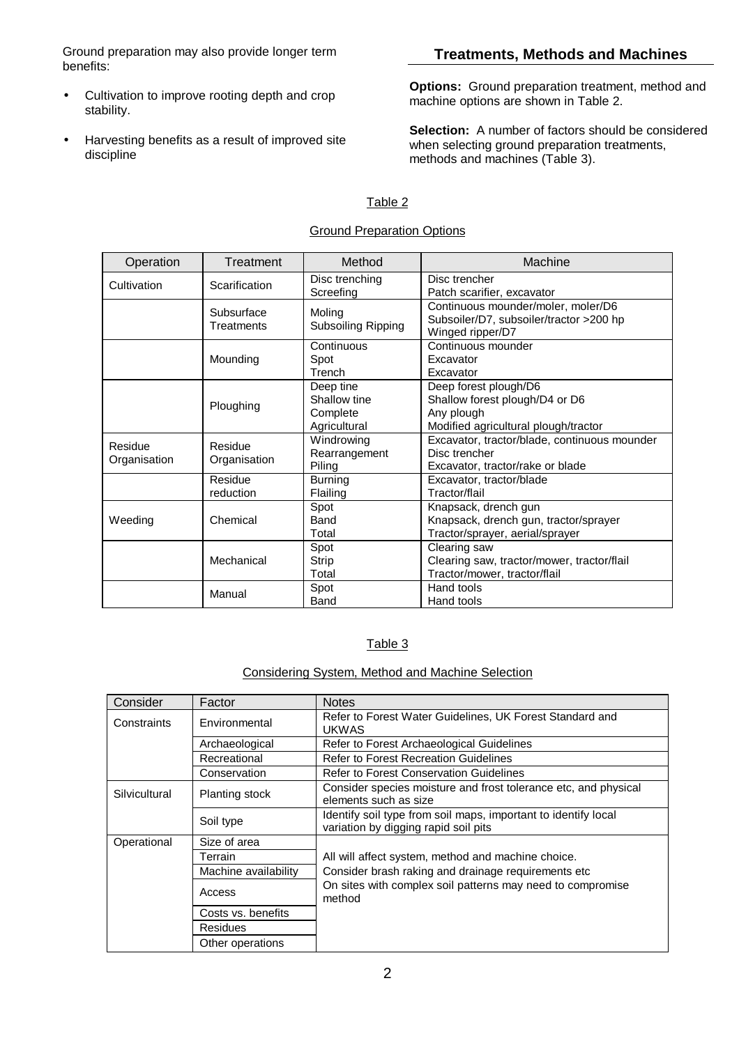Ground preparation may also provide longer term benefits:

- Cultivation to improve rooting depth and crop stability.
- Harvesting benefits as a result of improved site discipline

**Treatments, Methods and Machines**

**Options:** Ground preparation treatment, method and machine options are shown in Table 2.

**Selection:** A number of factors should be considered when selecting ground preparation treatments, methods and machines (Table 3).

# Table 2

| Operation               | Treatment                | Method                                                | Machine                                                                                                       |
|-------------------------|--------------------------|-------------------------------------------------------|---------------------------------------------------------------------------------------------------------------|
| Cultivation             | Scarification            | Disc trenching<br>Screefing                           | Disc trencher<br>Patch scarifier, excavator                                                                   |
|                         | Subsurface<br>Treatments | Moling<br>Subsoiling Ripping                          | Continuous mounder/moler, moler/D6<br>Subsoiler/D7, subsoiler/tractor >200 hp<br>Winged ripper/D7             |
|                         | Mounding                 | Continuous<br>Spot<br>Trench                          | Continuous mounder<br>Excavator<br>Excavator                                                                  |
|                         | Ploughing                | Deep tine<br>Shallow tine<br>Complete<br>Agricultural | Deep forest plough/D6<br>Shallow forest plough/D4 or D6<br>Any plough<br>Modified agricultural plough/tractor |
| Residue<br>Organisation | Residue<br>Organisation  | Windrowing<br>Rearrangement<br>Piling                 | Excavator, tractor/blade, continuous mounder<br>Disc trencher<br>Excavator, tractor/rake or blade             |
|                         | Residue<br>reduction     | <b>Burning</b><br>Flailing                            | Excavator, tractor/blade<br>Tractor/flail                                                                     |
| Weeding                 | Chemical                 | Spot<br>Band<br>Total                                 | Knapsack, drench gun<br>Knapsack, drench gun, tractor/sprayer<br>Tractor/sprayer, aerial/sprayer              |
|                         | Mechanical               | Spot<br>Strip<br>Total                                | Clearing saw<br>Clearing saw, tractor/mower, tractor/flail<br>Tractor/mower, tractor/flail                    |
|                         | Manual                   | Spot<br>Band                                          | Hand tools<br>Hand tools                                                                                      |

### Ground Preparation Options

### Table 3

# Considering System, Method and Machine Selection

| Consider      | Factor                | <b>Notes</b>                                                                                           |  |  |
|---------------|-----------------------|--------------------------------------------------------------------------------------------------------|--|--|
| Constraints   | Environmental         | Refer to Forest Water Guidelines, UK Forest Standard and<br><b>UKWAS</b>                               |  |  |
|               | Archaeological        | Refer to Forest Archaeological Guidelines                                                              |  |  |
|               | Recreational          | <b>Refer to Forest Recreation Guidelines</b>                                                           |  |  |
|               | Conservation          | <b>Refer to Forest Conservation Guidelines</b>                                                         |  |  |
| Silvicultural | <b>Planting stock</b> | Consider species moisture and frost tolerance etc, and physical<br>elements such as size               |  |  |
|               | Soil type             | Identify soil type from soil maps, important to identify local<br>variation by digging rapid soil pits |  |  |
| Operational   | Size of area          |                                                                                                        |  |  |
|               | Terrain               | All will affect system, method and machine choice.                                                     |  |  |
|               | Machine availability  | Consider brash raking and drainage requirements etc                                                    |  |  |
|               | Access                | On sites with complex soil patterns may need to compromise<br>method                                   |  |  |
|               | Costs vs. benefits    |                                                                                                        |  |  |
|               | <b>Residues</b>       |                                                                                                        |  |  |
|               | Other operations      |                                                                                                        |  |  |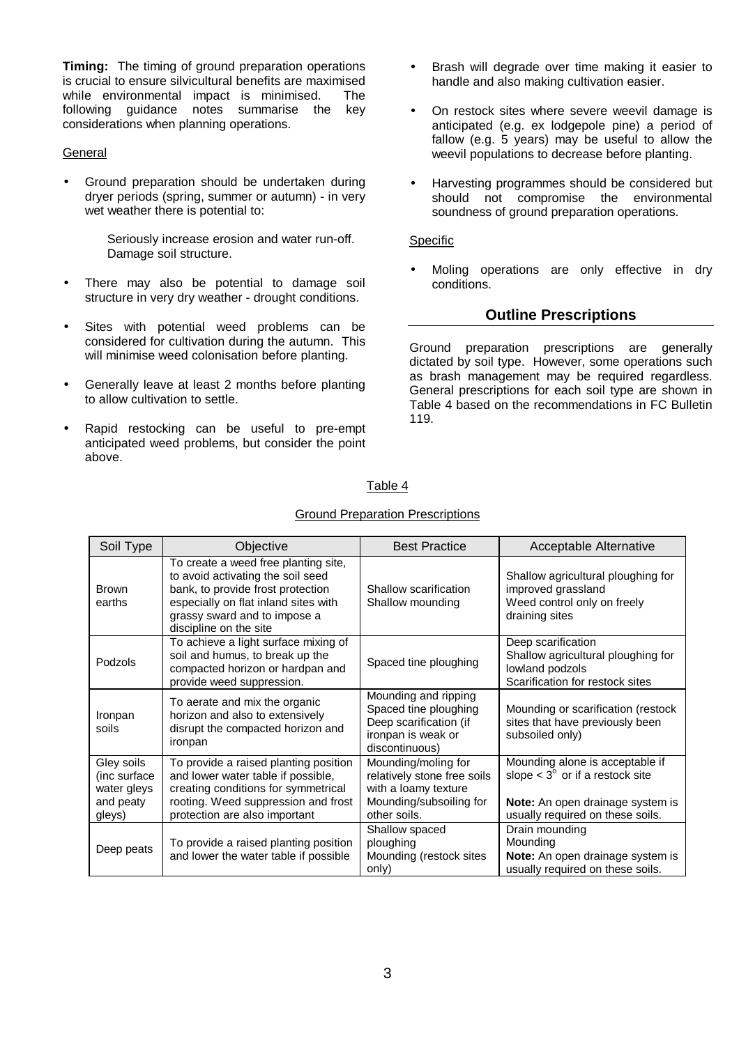**Timing:** The timing of ground preparation operations is crucial to ensure silvicultural benefits are maximised while environmental impact is minimised. The following guidance notes summarise the key considerations when planning operations.

#### General

Ground preparation should be undertaken during dryer periods (spring, summer or autumn) - in very wet weather there is potential to:

> Seriously increase erosion and water run-off. Damage soil structure.

- There may also be potential to damage soil structure in very dry weather - drought conditions.
- Sites with potential weed problems can be considered for cultivation during the autumn. This will minimise weed colonisation before planting.
- Generally leave at least 2 months before planting to allow cultivation to settle.
- Rapid restocking can be useful to pre-empt anticipated weed problems, but consider the point above.
- Brash will degrade over time making it easier to handle and also making cultivation easier.
- On restock sites where severe weevil damage is anticipated (e.g. ex lodgepole pine) a period of fallow (e.g. 5 years) may be useful to allow the weevil populations to decrease before planting.
- Harvesting programmes should be considered but should not compromise the environmental soundness of ground preparation operations.

#### Specific

Moling operations are only effective in dry conditions.

# **Outline Prescriptions**

Ground preparation prescriptions are generally dictated by soil type. However, some operations such as brash management may be required regardless. General prescriptions for each soil type are shown in Table 4 based on the recommendations in FC Bulletin 119.

# Table 4

Ground Preparation Prescriptions

# Soil Type | Chiective | Best Practice | Acceptable Alternative Shallow scarification Shallow mounding draining sites

| <b>Brown</b><br>earths                                           | To create a weed free planting site,<br>to avoid activating the soil seed<br>bank, to provide frost protection<br>especially on flat inland sites with<br>grassy sward and to impose a<br>discipline on the site | Shallow scarification<br>Shallow mounding                                                                             | Shallow agricultural ploughing for<br>improved grassland<br>Weed control only on freely<br>draining sites                                             |
|------------------------------------------------------------------|------------------------------------------------------------------------------------------------------------------------------------------------------------------------------------------------------------------|-----------------------------------------------------------------------------------------------------------------------|-------------------------------------------------------------------------------------------------------------------------------------------------------|
| Podzols                                                          | To achieve a light surface mixing of<br>soil and humus, to break up the<br>compacted horizon or hardpan and<br>provide weed suppression.                                                                         | Spaced tine ploughing                                                                                                 | Deep scarification<br>Shallow agricultural ploughing for<br>lowland podzols<br>Scarification for restock sites                                        |
| Ironpan<br>soils                                                 | To aerate and mix the organic<br>horizon and also to extensively<br>disrupt the compacted horizon and<br>ironpan                                                                                                 | Mounding and ripping<br>Spaced tine ploughing<br>Deep scarification (if<br>ironpan is weak or<br>discontinuous)       | Mounding or scarification (restock<br>sites that have previously been<br>subsoiled only)                                                              |
| Gley soils<br>(inc surface<br>water gleys<br>and peaty<br>gleys) | To provide a raised planting position<br>and lower water table if possible,<br>creating conditions for symmetrical<br>rooting. Weed suppression and frost<br>protection are also important                       | Mounding/moling for<br>relatively stone free soils<br>with a loamy texture<br>Mounding/subsoiling for<br>other soils. | Mounding alone is acceptable if<br>slope $<$ 3 $\degree$ or if a restock site<br>Note: An open drainage system is<br>usually required on these soils. |
| Deep peats                                                       | To provide a raised planting position<br>and lower the water table if possible                                                                                                                                   | Shallow spaced<br>ploughing<br>Mounding (restock sites<br>only)                                                       | Drain mounding<br>Mounding<br><b>Note:</b> An open drainage system is<br>usually required on these soils.                                             |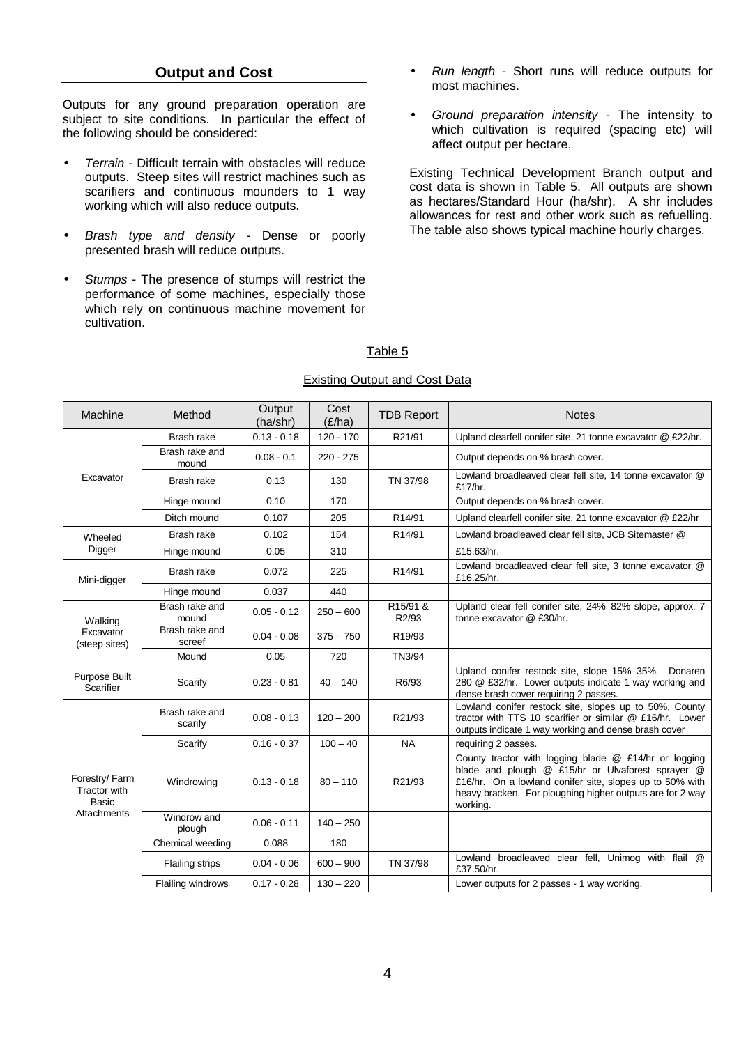# **Output and Cost**

Outputs for any ground preparation operation are subject to site conditions. In particular the effect of the following should be considered:

- *Terrain* Difficult terrain with obstacles will reduce outputs. Steep sites will restrict machines such as scarifiers and continuous mounders to 1 way working which will also reduce outputs.
- *Brash type and density* Dense or poorly presented brash will reduce outputs.
- *Stumps*  The presence of stumps will restrict the performance of some machines, especially those which rely on continuous machine movement for cultivation.
- *Run length* Short runs will reduce outputs for most machines.
- *Ground preparation intensity* The intensity to which cultivation is required (spacing etc) will affect output per hectare.

Existing Technical Development Branch output and cost data is shown in Table 5. All outputs are shown as hectares/Standard Hour (ha/shr). A shr includes allowances for rest and other work such as refuelling. The table also shows typical machine hourly charges.

#### Table 5

#### Machine Method Output (ha/shr) Cost  $\begin{array}{c|c}\n\text{Cost} \\
\text{(£/ha)}\n\end{array}$  TDB Report  $\begin{array}{c}\n\text{Notes}\n\end{array}$ Brash rake  $\begin{vmatrix} 0.13 - 0.18 & 120 - 170 \end{vmatrix}$  R21/91 Upland clearfell conifer site, 21 tonne excavator @ £22/hr. Brash rake and mound 0.08 - 0.1 220 - 275 | Output depends on % brash cover. £17/hr. Hinge mound  $\begin{vmatrix} 0.10 \end{vmatrix}$  170  $\begin{vmatrix} 1 \end{vmatrix}$  Output depends on % brash cover. Excavator Digger | Hinge mound | 0.05 | 310 | 15.63/hr. Mini-digger **E16.25/hr.** Mini-digger **E16.25/hr.** Hinge mound | 0.037 | 440 Brash rake and  $\frac{\text{sh} \text{ rate and}}{\text{mound}}$  0.05 - 0.12 250 – 600 R15/91 & R2/93 tonne excavator @ £30/hr. Brash rake and screef  $\begin{array}{|c|c|c|c|c|c|c|}\n\hline\n\text{score} & 0.04 - 0.08 & 375 - 750 & \text{R19/93}\n\hline\n\end{array}$ Walking Excavator (steep sites) Mound 0.05 720 TN3/94 Purpose Built Scarifier  $\begin{array}{|c|c|c|c|c|c|c|c|}\n\hline\n\text{Scart} & \text{Scartify} & 0.23 - 0.81 & 40 - 140 & \text{R6/93}\n\end{array}$ dense brash cover requiring 2 passes. Brash rake and scarify  $\begin{bmatrix} 0.08 - 0.13 & 120 - 200 \\ 0.08 - 0.13 & 120 - 200 \end{bmatrix}$  R21/93 Scarify  $\begin{array}{|c|c|c|c|c|c|c|c|} \hline \end{array}$  0.16 - 0.37 | 100 – 40 | NA | requiring 2 passes.

#### Existing Output and Cost Data

| Excavator                                                           | mound                     | $0.08 - 0.1$  | 220 - 275   |                     | Output depends on % brash cover.                                                                                                                                                                                                                |
|---------------------------------------------------------------------|---------------------------|---------------|-------------|---------------------|-------------------------------------------------------------------------------------------------------------------------------------------------------------------------------------------------------------------------------------------------|
|                                                                     | Brash rake                | 0.13          | 130         | TN 37/98            | Lowland broadleaved clear fell site, 14 tonne excavator @<br>£17/hr.                                                                                                                                                                            |
|                                                                     | Hinge mound               | 0.10          | 170         |                     | Output depends on % brash cover.                                                                                                                                                                                                                |
|                                                                     | Ditch mound               | 0.107         | 205         | R14/91              | Upland clearfell conifer site, 21 tonne excavator @ £22/hr                                                                                                                                                                                      |
| Wheeled<br>Digger                                                   | Brash rake                | 0.102         | 154         | R14/91              | Lowland broadleaved clear fell site, JCB Sitemaster @                                                                                                                                                                                           |
|                                                                     | Hinge mound               | 0.05          | 310         |                     | £15.63/hr.                                                                                                                                                                                                                                      |
| Mini-digger                                                         | Brash rake                | 0.072         | 225         | R14/91              | Lowland broadleaved clear fell site, 3 tonne excavator @<br>£16.25/hr.                                                                                                                                                                          |
|                                                                     | Hinge mound               | 0.037         | 440         |                     |                                                                                                                                                                                                                                                 |
| Walking<br>Excavator<br>(steep sites)                               | Brash rake and<br>mound   | $0.05 - 0.12$ | $250 - 600$ | R15/91 &<br>R2/93   | Upland clear fell conifer site, 24%-82% slope, approx. 7<br>tonne excavator @ £30/hr.                                                                                                                                                           |
|                                                                     | Brash rake and<br>screef  | $0.04 - 0.08$ | $375 - 750$ | R <sub>19</sub> /93 |                                                                                                                                                                                                                                                 |
|                                                                     | Mound                     | 0.05          | 720         | TN3/94              |                                                                                                                                                                                                                                                 |
| Purpose Built<br>Scarifier                                          | Scarify                   | $0.23 - 0.81$ | $40 - 140$  | R6/93               | Upland conifer restock site, slope 15%-35%. Donaren<br>280 @ £32/hr. Lower outputs indicate 1 way working and<br>dense brash cover requiring 2 passes.                                                                                          |
|                                                                     | Brash rake and<br>scarify | $0.08 - 0.13$ | $120 - 200$ | R21/93              | Lowland conifer restock site, slopes up to 50%, County<br>tractor with TTS 10 scarifier or similar @ £16/hr. Lower<br>outputs indicate 1 way working and dense brash cover                                                                      |
|                                                                     | Scarify                   | $0.16 - 0.37$ | $100 - 40$  | <b>NA</b>           | requiring 2 passes.                                                                                                                                                                                                                             |
| Forestry/Farm<br><b>Tractor with</b><br><b>Basic</b><br>Attachments | Windrowing                | $0.13 - 0.18$ | $80 - 110$  | R21/93              | County tractor with logging blade @ £14/hr or logging<br>blade and plough @ £15/hr or Ulvaforest sprayer @<br>£16/hr. On a lowland conifer site, slopes up to 50% with<br>heavy bracken. For ploughing higher outputs are for 2 way<br>working. |
|                                                                     | Windrow and<br>plough     | $0.06 - 0.11$ | $140 - 250$ |                     |                                                                                                                                                                                                                                                 |
|                                                                     | Chemical weeding          | 0.088         | 180         |                     |                                                                                                                                                                                                                                                 |
|                                                                     | Flailing strips           | $0.04 - 0.06$ | $600 - 900$ | TN 37/98            | Lowland broadleaved clear fell, Unimog with flail @<br>£37.50/hr.                                                                                                                                                                               |
|                                                                     | Flailing windrows         | $0.17 - 0.28$ | $130 - 220$ |                     | Lower outputs for 2 passes - 1 way working.                                                                                                                                                                                                     |